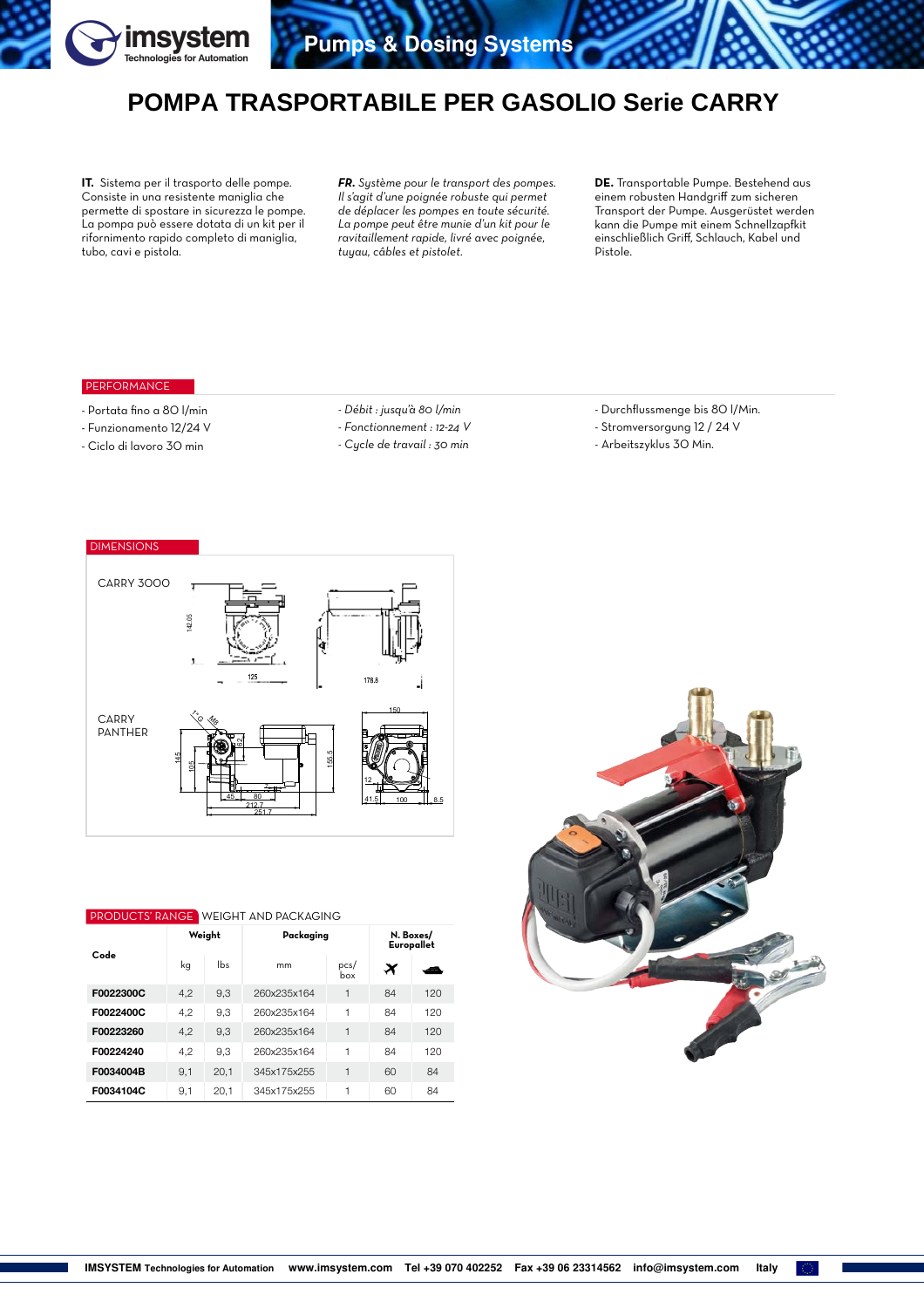

## **POMPA TRASPORTABILE PER GASOLIO Serie CARRY**

**IT.** Sistema per il trasporto delle pompe. Consiste in una resistente maniglia che permette di spostare in sicurezza le pompe. La pompa può essere dotata di un kit per il rifornimento rapido completo di maniglia, tubo, cavi e pistola.

*FR. Système pour le transport des pompes. Il s'agit d'une poignée robuste qui permet de déplacer les pompes en toute sécurité. La pompe peut être munie d'un kit pour le ravitaillement rapide, livré avec poignée, tuyau, câbles et pistolet.*

**DE.** Transportable Pumpe. Bestehend aus einem robusten Handgriff zum sicheren Transport der Pumpe. Ausgerüstet werden kann die Pumpe mit einem Schnellzapfkit einschließlich Griff, Schlauch, Kabel und Pistole.

## PERFORMANCE

- Portata fino a 80 l/min
- Funzionamento 12/24 V
- Ciclo di lavoro 30 min
- *Débit : jusqu'à 80 l/min*
- *Fonctionnement : 12-24 V*
- *Cycle de travail : 30 min*
- Durchflussmenge bis 80 l/Min.
- Stromversorgung 12 / 24 V
- Arbeitszyklus 30 Min.



| <b>PRODUCTS' RANGE WEIGHT AND PACKAGING</b> |        |      |             |                         |    |     |  |  |  |  |  |
|---------------------------------------------|--------|------|-------------|-------------------------|----|-----|--|--|--|--|--|
| Code                                        | Weight |      | Packaging   | N. Boxes/<br>Europallet |    |     |  |  |  |  |  |
|                                             | kg     | lbs  | mm          | pcs/<br>box             | ×  |     |  |  |  |  |  |
| F0022300C                                   | 4.2    | 9.3  | 260x235x164 | 1                       | 84 | 120 |  |  |  |  |  |
| F0022400C                                   | 4.2    | 9.3  | 260x235x164 | 1                       | 84 | 120 |  |  |  |  |  |
| F00223260                                   | 4.2    | 9.3  | 260x235x164 | 1                       | 84 | 120 |  |  |  |  |  |
| F00224240                                   | 4.2    | 9.3  | 260x235x164 | 1                       | 84 | 120 |  |  |  |  |  |
| F0034004B                                   | 9.1    | 20.1 | 345x175x255 | 1                       | 60 | 84  |  |  |  |  |  |
| F0034104C                                   | 9,1    | 20.1 | 345x175x255 | 1                       | 60 | 84  |  |  |  |  |  |